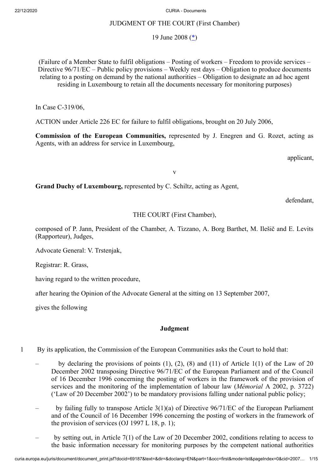## JUDGMENT OF THE COURT (First Chamber)

## <span id="page-0-0"></span>19 June 2008  $(*)$  $(*)$

(Failure of a Member State to fulfil obligations – Posting of workers – Freedom to provide services – Directive 96/71/EC – Public policy provisions – Weekly rest days – Obligation to produce documents relating to a posting on demand by the national authorities – Obligation to designate an ad hoc agent residing in Luxembourg to retain all the documents necessary for monitoring purposes)

In Case C‑319/06,

ACTION under Article 226 EC for failure to fulfil obligations, brought on 20 July 2006,

**Commission of the European Communities,** represented by J. Enegren and G. Rozet, acting as Agents, with an address for service in Luxembourg,

applicant,

v

**Grand Duchy of Luxembourg,** represented by C. Schiltz, acting as Agent,

defendant,

THE COURT (First Chamber),

composed of P. Jann, President of the Chamber, A. Tizzano, A. Borg Barthet, M. Ilešič and E. Levits (Rapporteur), Judges,

Advocate General: V. Trstenjak,

Registrar: R. Grass,

having regard to the written procedure,

after hearing the Opinion of the Advocate General at the sitting on 13 September 2007,

gives the following

## **Judgment**

- 1 By its application, the Commission of the European Communities asks the Court to hold that:
	- by declaring the provisions of points  $(1)$ ,  $(2)$ ,  $(8)$  and  $(11)$  of Article  $1(1)$  of the Law of 20 December 2002 transposing Directive 96/71/EC of the European Parliament and of the Council of 16 December 1996 concerning the posting of workers in the framework of the provision of services and the monitoring of the implementation of labour law (*Mémorial* A 2002, p. 3722) ('Law of 20 December 2002') to be mandatory provisions falling under national public policy;
	- by failing fully to transpose Article 3(1)(a) of Directive 96/71/EC of the European Parliament and of the Council of 16 December 1996 concerning the posting of workers in the framework of the provision of services (OJ 1997 L 18, p. 1);
	- by setting out, in Article 7(1) of the Law of 20 December 2002, conditions relating to access to the basic information necessary for monitoring purposes by the competent national authorities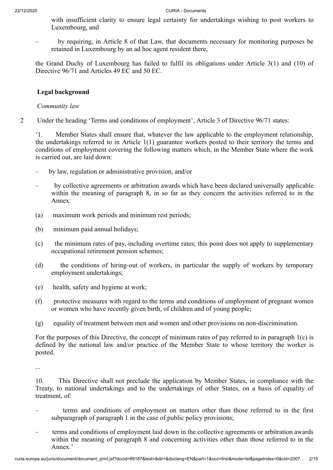with insufficient clarity to ensure legal certainty for undertakings wishing to post workers to Luxembourg, and

– by requiring, in Article 8 of that Law, that documents necessary for monitoring purposes be retained in Luxembourg by an ad hoc agent resident there,

the Grand Duchy of Luxembourg has failed to fulfil its obligations under Article 3(1) and (10) of Directive 96/71 and Articles 49 EC and 50 EC.

# **Legal background**

## *Community law*

2 Under the heading 'Terms and conditions of employment', Article 3 of Directive 96/71 states:

'1. Member States shall ensure that, whatever the law applicable to the employment relationship, the undertakings referred to in Article 1(1) guarantee workers posted to their territory the terms and conditions of employment covering the following matters which, in the Member State where the work is carried out, are laid down:

- by law, regulation or administrative provision, and/or
- by collective agreements or arbitration awards which have been declared universally applicable within the meaning of paragraph 8, in so far as they concern the activities referred to in the Annex:
- (a) maximum work periods and minimum rest periods;
- (b) minimum paid annual holidays;
- (c) the minimum rates of pay, including overtime rates; this point does not apply to supplementary occupational retirement pension schemes;
- (d) the conditions of hiring-out of workers, in particular the supply of workers by temporary employment undertakings;
- (e) health, safety and hygiene at work;
- (f) protective measures with regard to the terms and conditions of employment of pregnant women or women who have recently given birth, of children and of young people;
- (g) equality of treatment between men and women and other provisions on non-discrimination.

For the purposes of this Directive, the concept of minimum rates of pay referred to in paragraph 1(c) is defined by the national law and/or practice of the Member State to whose territory the worker is posted.

...

10. This Directive shall not preclude the application by Member States, in compliance with the Treaty, to national undertakings and to the undertakings of other States, on a basis of equality of treatment, of:

- terms and conditions of employment on matters other than those referred to in the first subparagraph of paragraph 1 in the case of public policy provisions;
- terms and conditions of employment laid down in the collective agreements or arbitration awards within the meaning of paragraph 8 and concerning activities other than those referred to in the Annex.'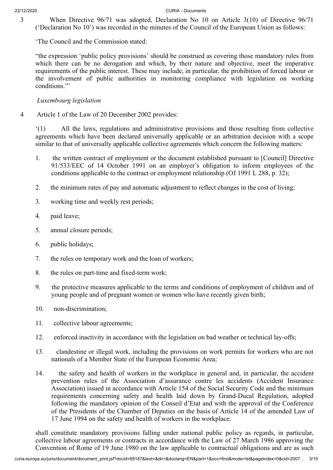3 When Directive 96/71 was adopted, Declaration No 10 on Article 3(10) of Directive 96/71 ('Declaration No 10') was recorded in the minutes of the Council of the European Union as follows:

'The Council and the Commission stated:

"the expression 'public policy provisions' should be construed as covering those mandatory rules from which there can be no derogation and which, by their nature and objective, meet the imperative requirements of the public interest. These may include, in particular, the prohibition of forced labour or the involvement of public authorities in monitoring compliance with legislation on working conditions."'

# *Luxembourg legislation*

4 Article 1 of the Law of 20 December 2002 provides:

'(1) All the laws, regulations and administrative provisions and those resulting from collective agreements which have been declared universally applicable or an arbitration decision with a scope similar to that of universally applicable collective agreements which concern the following matters:

- 1. the written contract of employment or the document established pursuant to [Council] Directive 91/533/EEC of 14 October 1991 on an employer's obligation to inform employees of the conditions applicable to the contract or employment relationship (OJ 1991 L 288, p. 32);
- 2. the minimum rates of pay and automatic adjustment to reflect changes in the cost of living;
- 3. working time and weekly rest periods;
- 4. paid leave;
- 5. annual closure periods;
- 6. public holidays;
- 7. the rules on temporary work and the loan of workers;
- 8. the rules on part-time and fixed-term work;
- 9. the protective measures applicable to the terms and conditions of employment of children and of young people and of pregnant women or women who have recently given birth;
- 10. non-discrimination;
- 11. collective labour agreements;
- 12. enforced inactivity in accordance with the legislation on bad weather or technical lay-offs;
- 13. clandestine or illegal work, including the provisions on work permits for workers who are not nationals of a Member State of the European Economic Area;
- 14. the safety and health of workers in the workplace in general and, in particular, the accident prevention rules of the Association d'assurance contre les accidents (Accident Insurance Association) issued in accordance with Article 154 of the Social Security Code and the minimum requirements concerning safety and health laid down by Grand-Ducal Regulation, adopted following the mandatory opinion of the Conseil d'Etat and with the approval of the Conference of the Presidents of the Chamber of Deputies on the basis of Article 14 of the amended Law of 17 June 1994 on the safety and health of workers in the workplace.

shall constitute mandatory provisions falling under national public policy as regards, in particular, collective labour agreements or contracts in accordance with the Law of 27 March 1986 approving the Convention of Rome of 19 June 1980 on the law applicable to contractual obligations and are as such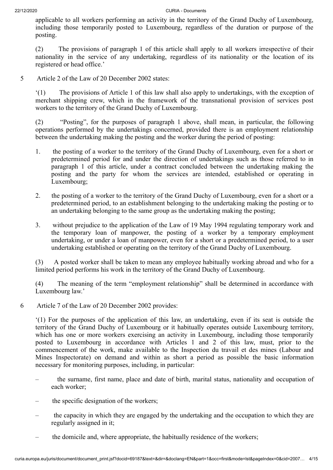applicable to all workers performing an activity in the territory of the Grand Duchy of Luxembourg, including those temporarily posted to Luxembourg, regardless of the duration or purpose of the posting.

(2) The provisions of paragraph 1 of this article shall apply to all workers irrespective of their nationality in the service of any undertaking, regardless of its nationality or the location of its registered or head office.'

5 Article 2 of the Law of 20 December 2002 states:

'(1) The provisions of Article 1 of this law shall also apply to undertakings, with the exception of merchant shipping crew, which in the framework of the transnational provision of services post workers to the territory of the Grand Duchy of Luxembourg.

(2) "Posting", for the purposes of paragraph 1 above, shall mean, in particular, the following operations performed by the undertakings concerned, provided there is an employment relationship between the undertaking making the posting and the worker during the period of posting:

- 1. the posting of a worker to the territory of the Grand Duchy of Luxembourg, even for a short or predetermined period for and under the direction of undertakings such as those referred to in paragraph 1 of this article, under a contract concluded between the undertaking making the posting and the party for whom the services are intended, established or operating in Luxembourg;
- 2. the posting of a worker to the territory of the Grand Duchy of Luxembourg, even for a short or a predetermined period, to an establishment belonging to the undertaking making the posting or to an undertaking belonging to the same group as the undertaking making the posting;
- 3. without prejudice to the application of the Law of 19 May 1994 regulating temporary work and the temporary loan of manpower, the posting of a worker by a temporary employment undertaking, or under a loan of manpower, even for a short or a predetermined period, to a user undertaking established or operating on the territory of the Grand Duchy of Luxembourg.

(3) A posted worker shall be taken to mean any employee habitually working abroad and who for a limited period performs his work in the territory of the Grand Duchy of Luxembourg.

(4) The meaning of the term "employment relationship" shall be determined in accordance with Luxembourg law.'

6 Article 7 of the Law of 20 December 2002 provides:

'(1) For the purposes of the application of this law, an undertaking, even if its seat is outside the territory of the Grand Duchy of Luxembourg or it habitually operates outside Luxembourg territory, which has one or more workers exercising an activity in Luxembourg, including those temporarily posted to Luxembourg in accordance with Articles 1 and 2 of this law, must, prior to the commencement of the work, make available to the Inspection du travail et des mines (Labour and Mines Inspectorate) on demand and within as short a period as possible the basic information necessary for monitoring purposes, including, in particular:

- the surname, first name, place and date of birth, marital status, nationality and occupation of each worker;
- the specific designation of the workers:
- the capacity in which they are engaged by the undertaking and the occupation to which they are regularly assigned in it;
- the domicile and, where appropriate, the habitually residence of the workers;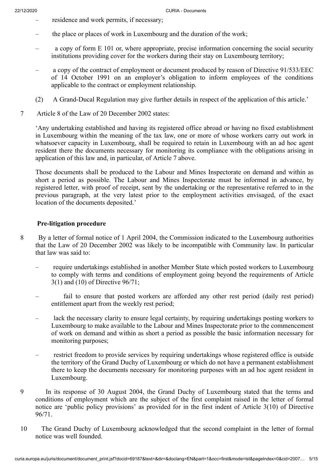- residence and work permits, if necessary;
	- the place or places of work in Luxembourg and the duration of the work;
- a copy of form E 101 or, where appropriate, precise information concerning the social security institutions providing cover for the workers during their stay on Luxembourg territory;
- a copy of the contract of employment or document produced by reason of Directive 91/533/EEC of 14 October 1991 on an employer's obligation to inform employees of the conditions applicable to the contract or employment relationship.
- (2) A Grand-Ducal Regulation may give further details in respect of the application of this article.'
- 7 Article 8 of the Law of 20 December 2002 states:

'Any undertaking established and having its registered office abroad or having no fixed establishment in Luxembourg within the meaning of the tax law, one or more of whose workers carry out work in whatsoever capacity in Luxembourg, shall be required to retain in Luxembourg with an ad hoc agent resident there the documents necessary for monitoring its compliance with the obligations arising in application of this law and, in particular, of Article 7 above.

Those documents shall be produced to the Labour and Mines Inspectorate on demand and within as short a period as possible. The Labour and Mines Inspectorate must be informed in advance, by registered letter, with proof of receipt, sent by the undertaking or the representative referred to in the previous paragraph, at the very latest prior to the employment activities envisaged, of the exact location of the documents deposited.'

# **Pre-litigation procedure**

- 8 By a letter of formal notice of 1 April 2004, the Commission indicated to the Luxembourg authorities that the Law of 20 December 2002 was likely to be incompatible with Community law. In particular that law was said to:
	- require undertakings established in another Member State which posted workers to Luxembourg to comply with terms and conditions of employment going beyond the requirements of Article 3(1) and (10) of Directive 96/71;
	- fail to ensure that posted workers are afforded any other rest period (daily rest period) entitlement apart from the weekly rest period;
	- lack the necessary clarity to ensure legal certainty, by requiring undertakings posting workers to Luxembourg to make available to the Labour and Mines Inspectorate prior to the commencement of work on demand and within as short a period as possible the basic information necessary for monitoring purposes;
	- restrict freedom to provide services by requiring undertakings whose registered office is outside the territory of the Grand Duchy of Luxembourg or which do not have a permanent establishment there to keep the documents necessary for monitoring purposes with an ad hoc agent resident in Luxembourg.
- 9 In its response of 30 August 2004, the Grand Duchy of Luxembourg stated that the terms and conditions of employment which are the subject of the first complaint raised in the letter of formal notice are 'public policy provisions' as provided for in the first indent of Article 3(10) of Directive 96/71.
- 10 The Grand Duchy of Luxembourg acknowledged that the second complaint in the letter of formal notice was well founded.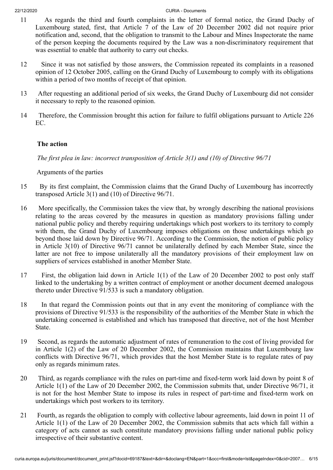- 11 As regards the third and fourth complaints in the letter of formal notice, the Grand Duchy of Luxembourg stated, first, that Article 7 of the Law of 20 December 2002 did not require prior notification and, second, that the obligation to transmit to the Labour and Mines Inspectorate the name of the person keeping the documents required by the Law was a non-discriminatory requirement that was essential to enable that authority to carry out checks.
- 12 Since it was not satisfied by those answers, the Commission repeated its complaints in a reasoned opinion of 12 October 2005, calling on the Grand Duchy of Luxembourg to comply with its obligations within a period of two months of receipt of that opinion.
- 13 After requesting an additional period of six weeks, the Grand Duchy of Luxembourg did not consider it necessary to reply to the reasoned opinion.
- 14 Therefore, the Commission brought this action for failure to fulfil obligations pursuant to Article 226 EC.

# **The action**

*The first plea in law: incorrect transposition of Article 3(1) and (10) of Directive 96/71*

Arguments of the parties

- 15 By its first complaint, the Commission claims that the Grand Duchy of Luxembourg has incorrectly transposed Article 3(1) and (10) of Directive 96/71.
- 16 More specifically, the Commission takes the view that, by wrongly describing the national provisions relating to the areas covered by the measures in question as mandatory provisions falling under national public policy and thereby requiring undertakings which post workers to its territory to comply with them, the Grand Duchy of Luxembourg imposes obligations on those undertakings which go beyond those laid down by Directive 96/71. According to the Commission, the notion of public policy in Article 3(10) of Directive 96/71 cannot be unilaterally defined by each Member State, since the latter are not free to impose unilaterally all the mandatory provisions of their employment law on suppliers of services established in another Member State.
- 17 First, the obligation laid down in Article 1(1) of the Law of 20 December 2002 to post only staff linked to the undertaking by a written contract of employment or another document deemed analogous thereto under Directive 91/533 is such a mandatory obligation.
- 18 In that regard the Commission points out that in any event the monitoring of compliance with the provisions of Directive 91/533 is the responsibility of the authorities of the Member State in which the undertaking concerned is established and which has transposed that directive, not of the host Member State.
- 19 Second, as regards the automatic adjustment of rates of remuneration to the cost of living provided for in Article 1(2) of the Law of 20 December 2002, the Commission maintains that Luxembourg law conflicts with Directive 96/71, which provides that the host Member State is to regulate rates of pay only as regards minimum rates.
- 20 Third, as regards compliance with the rules on part-time and fixed-term work laid down by point 8 of Article 1(1) of the Law of 20 December 2002, the Commission submits that, under Directive 96/71, it is not for the host Member State to impose its rules in respect of part-time and fixed-term work on undertakings which post workers to its territory.
- 21 Fourth, as regards the obligation to comply with collective labour agreements, laid down in point 11 of Article 1(1) of the Law of 20 December 2002, the Commission submits that acts which fall within a category of acts cannot as such constitute mandatory provisions falling under national public policy irrespective of their substantive content.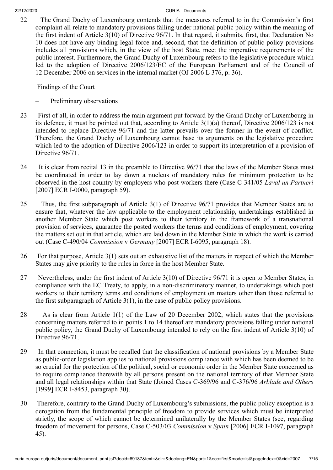22 The Grand Duchy of Luxembourg contends that the measures referred to in the Commission's first complaint all relate to mandatory provisions falling under national public policy within the meaning of the first indent of Article 3(10) of Directive 96/71. In that regard, it submits, first, that Declaration No 10 does not have any binding legal force and, second, that the definition of public policy provisions includes all provisions which, in the view of the host State, meet the imperative requirements of the public interest. Furthermore, the Grand Duchy of Luxembourg refers to the legislative procedure which led to the adoption of Directive 2006/123/EC of the European Parliament and of the Council of 12 December 2006 on services in the internal market (OJ 2006 L 376, p. 36).

- Preliminary observations
- 23 First of all, in order to address the main argument put forward by the Grand Duchy of Luxembourg in its defence, it must be pointed out that, according to Article 3(1)(a) thereof, Directive 2006/123 is not intended to replace Directive 96/71 and the latter prevails over the former in the event of conflict. Therefore, the Grand Duchy of Luxembourg cannot base its arguments on the legislative procedure which led to the adoption of Directive 2006/123 in order to support its interpretation of a provision of Directive  $96/71$ .
- 24 It is clear from recital 13 in the preamble to Directive 96/71 that the laws of the Member States must be coordinated in order to lay down a nucleus of mandatory rules for minimum protection to be observed in the host country by employers who post workers there (Case C-341/05 *Laval un Partneri* [2007] ECR I-0000, paragraph 59).
- 25 Thus, the first subparagraph of Article 3(1) of Directive 96/71 provides that Member States are to ensure that, whatever the law applicable to the employment relationship, undertakings established in another Member State which post workers to their territory in the framework of a transnational provision of services, guarantee the posted workers the terms and conditions of employment, covering the matters set out in that article, which are laid down in the Member State in which the work is carried out (Case C-490/04 *Commission* v *Germany* [2007] ECR I-6095, paragraph 18).
- 26 For that purpose, Article 3(1) sets out an exhaustive list of the matters in respect of which the Member States may give priority to the rules in force in the host Member State.
- 27 Nevertheless, under the first indent of Article 3(10) of Directive 96/71 it is open to Member States, in compliance with the EC Treaty, to apply, in a non-discriminatory manner, to undertakings which post workers to their territory terms and conditions of employment on matters other than those referred to the first subparagraph of Article 3(1), in the case of public policy provisions.
- 28 As is clear from Article 1(1) of the Law of 20 December 2002, which states that the provisions concerning matters referred to in points 1 to 14 thereof are mandatory provisions falling under national public policy, the Grand Duchy of Luxembourg intended to rely on the first indent of Article 3(10) of Directive 96/71.
- 29 In that connection, it must be recalled that the classification of national provisions by a Member State as public‑order legislation applies to national provisions compliance with which has been deemed to be so crucial for the protection of the political, social or economic order in the Member State concerned as to require compliance therewith by all persons present on the national territory of that Member State and all legal relationships within that State (Joined Cases C‑369/96 and C‑376/96 *Arblade and Others* [1999] ECR I-8453, paragraph 30).
- 30 Therefore, contrary to the Grand Duchy of Luxembourg's submissions, the public policy exception is a derogation from the fundamental principle of freedom to provide services which must be interpreted strictly, the scope of which cannot be determined unilaterally by the Member States (see, regarding freedom of movement for persons, Case C‑503/03 *Commission* v *Spain* [2006] ECR I‑1097, paragraph 45).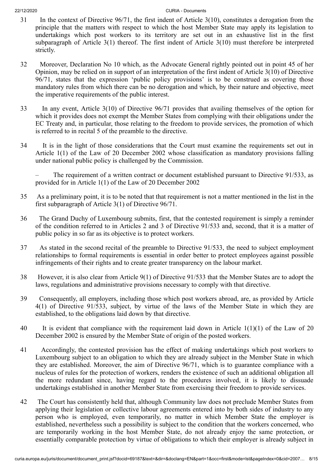- 31 In the context of Directive 96/71, the first indent of Article 3(10), constitutes a derogation from the principle that the matters with respect to which the host Member State may apply its legislation to undertakings which post workers to its territory are set out in an exhaustive list in the first subparagraph of Article 3(1) thereof. The first indent of Article 3(10) must therefore be interpreted strictly.
- 32 Moreover, Declaration No 10 which, as the Advocate General rightly pointed out in point 45 of her Opinion, may be relied on in support of an interpretation of the first indent of Article 3(10) of Directive 96/71, states that the expression 'public policy provisions' is to be construed as covering those mandatory rules from which there can be no derogation and which, by their nature and objective, meet the imperative requirements of the public interest.
- 33 In any event, Article 3(10) of Directive 96/71 provides that availing themselves of the option for which it provides does not exempt the Member States from complying with their obligations under the EC Treaty and, in particular, those relating to the freedom to provide services, the promotion of which is referred to in recital 5 of the preamble to the directive.
- 34 It is in the light of those considerations that the Court must examine the requirements set out in Article 1(1) of the Law of 20 December 2002 whose classification as mandatory provisions falling under national public policy is challenged by the Commission.

– The requirement of a written contract or document established pursuant to Directive 91/533, as provided for in Article 1(1) of the Law of 20 December 2002

- 35 As a preliminary point, it is to be noted that that requirement is not a matter mentioned in the list in the first subparagraph of Article 3(1) of Directive 96/71.
- 36 The Grand Duchy of Luxembourg submits, first, that the contested requirement is simply a reminder of the condition referred to in Articles 2 and 3 of Directive 91/533 and, second, that it is a matter of public policy in so far as its objective is to protect workers.
- 37 As stated in the second recital of the preamble to Directive 91/533, the need to subject employment relationships to formal requirements is essential in order better to protect employees against possible infringements of their rights and to create greater transparency on the labour market.
- 38 However, it is also clear from Article 9(1) of Directive 91/533 that the Member States are to adopt the laws, regulations and administrative provisions necessary to comply with that directive.
- 39 Consequently, all employers, including those which post workers abroad, are, as provided by Article 4(1) of Directive 91/533, subject, by virtue of the laws of the Member State in which they are established, to the obligations laid down by that directive.
- 40 It is evident that compliance with the requirement laid down in Article 1(1)(1) of the Law of 20 December 2002 is ensured by the Member State of origin of the posted workers.
- 41 Accordingly, the contested provision has the effect of making undertakings which post workers to Luxembourg subject to an obligation to which they are already subject in the Member State in which they are established. Moreover, the aim of Directive 96/71, which is to guarantee compliance with a nucleus of rules for the protection of workers, renders the existence of such an additional obligation all the more redundant since, having regard to the procedures involved, it is likely to dissuade undertakings established in another Member State from exercising their freedom to provide services.
- 42 The Court has consistently held that, although Community law does not preclude Member States from applying their legislation or collective labour agreements entered into by both sides of industry to any person who is employed, even temporarily, no matter in which Member State the employer is established, nevertheless such a possibility is subject to the condition that the workers concerned, who are temporarily working in the host Member State, do not already enjoy the same protection, or essentially comparable protection by virtue of obligations to which their employer is already subject in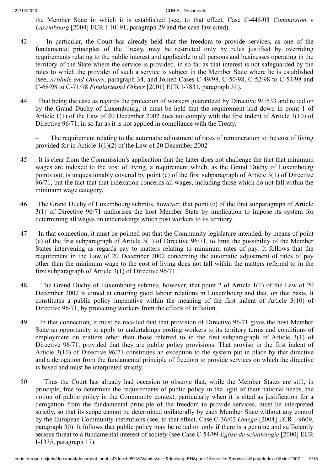the Member State in which it is established (see, to that effect, Case C-445/03 *Commission* v *Luxembourg* [2004] ECR I‑10191, paragraph 29 and the case-law cited).

- 43 In particular, the Court has already held that the freedom to provide services, as one of the fundamental principles of the Treaty, may be restricted only by rules justified by overriding requirements relating to the public interest and applicable to all persons and businesses operating in the territory of the State where the service is provided, in so far as that interest is not safeguarded by the rules to which the provider of such a service is subject in the Member State where he is established (see, *Arblade and Others*, paragraph 34, and Joined Cases C-49/98, C‑50/98, C-52/98 to C-54/98 and C-68/98 to C-71/98 *Finalarteand Others* [2001] ECR I-7831, paragraph 31).
- 44 That being the case as regards the protection of workers guaranteed by Directive 91/533 and relied on by the Grand Duchy of Luxembourg, it must be held that the requirement laid down in point 1 of Article 1(1) of the Law of 20 December 2002 does not comply with the first indent of Article 3(10) of Directive 96/71, in so far as it is not applied in compliance with the Treaty.

– The requirement relating to the automatic adjustment of rates of remuneration to the cost of living provided for in Article 1(1)(2) of the Law of 20 December 2002

- 45 It is clear from the Commission's application that the latter does not challenge the fact that minimum wages are indexed to the cost of living, a requirement which, as the Grand Duchy of Luxembourg points out, is unquestionably covered by point (c) of the first subparagraph of Article 3(1) of Directive 96/71, but the fact that that indexation concerns all wages, including those which do not fall within the minimum wage category.
- 46 The Grand Duchy of Luxembourg submits, however, that point (c) of the first subparagraph of Article 3(1) of Directive 96/71 authorises the host Member State by implication to impose its system for determining all wages on undertakings which post workers to its territory.
- 47 In that connection, it must be pointed out that the Community legislature intended, by means of point (c) of the first subparagraph of Article 3(1) of Directive 96/71, to limit the possibility of the Member States intervening as regards pay to matters relating to minimum rates of pay. It follows that the requirement in the Law of 20 December 2002 concerning the automatic adjustment of rates of pay other than the minimum wage to the cost of living does not fall within the matters referred to in the first subparagraph of Article 3(1) of Directive 96/71.
- 48 The Grand Duchy of Luxembourg submits, however, that point 2 of Article 1(1) of the Law of 20 December 2002 is aimed at ensuring good labour relations in Luxembourg and that, on that basis, it constitutes a public policy imperative within the meaning of the first indent of Article 3(10) of Directive 96/71, by protecting workers from the effects of inflation.
- 49 In that connection, it must be recalled that that provision of Directive 96/71 gives the host Member State an opportunity to apply to undertakings posting workers to its territory terms and conditions of employment on matters other than those referred to in the first subparagraph of Article 3(1) of Directive 96/71, provided that they are public policy provisions. That proviso in the first indent of Article 3(10) of Directive 96/71 constitutes an exception to the system put in place by that directive and a derogation from the fundamental principle of freedom to provide services on which the directive is based and must be interpreted strictly.
- 50 Thus the Court has already had occasion to observe that, while the Member States are still, in principle, free to determine the requirements of public policy in the light of their national needs, the notion of public policy in the Community context, particularly when it is cited as justification for a derogation from the fundamental principle of the freedom to provide services, must be interpreted strictly, so that its scope cannot be determined unilaterally by each Member State without any control by the European Community institutions (see, to that effect, Case C-36/02 *Omega* [2004] ECR I-9609, paragraph 30). It follows that public policy may be relied on only if there is a genuine and sufficiently serious threat to a fundamental interest of society (see Case C-54/99 *Église de scientologie* [2000] ECR I-1335, paragraph 17).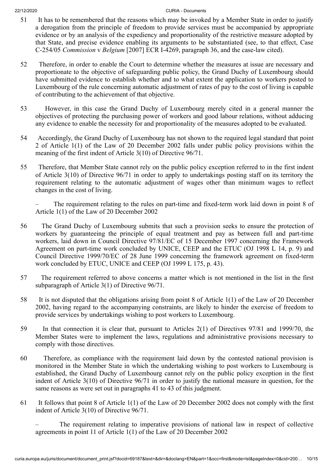- 51 It has to be remembered that the reasons which may be invoked by a Member State in order to justify a derogation from the principle of freedom to provide services must be accompanied by appropriate evidence or by an analysis of the expediency and proportionality of the restrictive measure adopted by that State, and precise evidence enabling its arguments to be substantiated (see, to that effect, Case C-254/05 *Commission* v *Belgium* [2007] ECR I-4269, paragraph 36, and the case-law cited).
- 52 Therefore, in order to enable the Court to determine whether the measures at issue are necessary and proportionate to the objective of safeguarding public policy, the Grand Duchy of Luxembourg should have submitted evidence to establish whether and to what extent the application to workers posted to Luxembourg of the rule concerning automatic adjustment of rates of pay to the cost of living is capable of contributing to the achievement of that objective.
- 53 However, in this case the Grand Duchy of Luxembourg merely cited in a general manner the objectives of protecting the purchasing power of workers and good labour relations, without adducing any evidence to enable the necessity for and proportionality of the measures adopted to be evaluated.
- 54 Accordingly, the Grand Duchy of Luxembourg has not shown to the required legal standard that point 2 of Article 1(1) of the Law of 20 December 2002 falls under public policy provisions within the meaning of the first indent of Article 3(10) of Directive 96/71.
- 55 Therefore, that Member State cannot rely on the public policy exception referred to in the first indent of Article 3(10) of Directive 96/71 in order to apply to undertakings posting staff on its territory the requirement relating to the automatic adjustment of wages other than minimum wages to reflect changes in the cost of living.

The requirement relating to the rules on part-time and fixed-term work laid down in point 8 of Article 1(1) of the Law of 20 December 2002

- 56 The Grand Duchy of Luxembourg submits that such a provision seeks to ensure the protection of workers by guaranteeing the principle of equal treatment and pay as between full and part-time workers, laid down in Council Directive 97/81/EC of 15 December 1997 concerning the Framework Agreement on part-time work concluded by UNICE, CEEP and the ETUC (OJ 1998 L 14, p. 9) and Council Directive 1999/70/EC of 28 June 1999 concerning the framework agreement on fixed-term work concluded by ETUC, UNICE and CEEP (OJ 1999 L 175, p. 43).
- 57 The requirement referred to above concerns a matter which is not mentioned in the list in the first subparagraph of Article 3(1) of Directive 96/71.
- 58 It is not disputed that the obligations arising from point 8 of Article 1(1) of the Law of 20 December 2002, having regard to the accompanying constraints, are likely to hinder the exercise of freedom to provide services by undertakings wishing to post workers to Luxembourg.
- 59 In that connection it is clear that, pursuant to Articles 2(1) of Directives 97/81 and 1999/70, the Member States were to implement the laws, regulations and administrative provisions necessary to comply with those directives.
- 60 Therefore, as compliance with the requirement laid down by the contested national provision is monitored in the Member State in which the undertaking wishing to post workers to Luxembourg is established, the Grand Duchy of Luxembourg cannot rely on the public policy exception in the first indent of Article 3(10) of Directive 96/71 in order to justify the national measure in question, for the same reasons as were set out in paragraphs 41 to 43 of this judgment.
- 61 It follows that point 8 of Article 1(1) of the Law of 20 December 2002 does not comply with the first indent of Article 3(10) of Directive 96/71.

– The requirement relating to imperative provisions of national law in respect of collective agreements in point 11 of Article 1(1) of the Law of 20 December 2002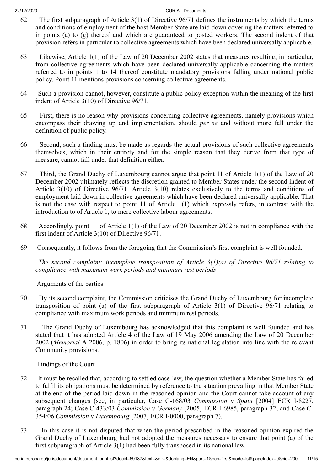- 62 The first subparagraph of Article 3(1) of Directive 96/71 defines the instruments by which the terms and conditions of employment of the host Member State are laid down covering the matters referred to in points (a) to (g) thereof and which are guaranteed to posted workers. The second indent of that provision refers in particular to collective agreements which have been declared universally applicable.
- 63 Likewise, Article 1(1) of the Law of 20 December 2002 states that measures resulting, in particular, from collective agreements which have been declared universally applicable concerning the matters referred to in points 1 to 14 thereof constitute mandatory provisions falling under national public policy. Point 11 mentions provisions concerning collective agreements.
- 64 Such a provision cannot, however, constitute a public policy exception within the meaning of the first indent of Article 3(10) of Directive 96/71.
- 65 First, there is no reason why provisions concerning collective agreements, namely provisions which encompass their drawing up and implementation, should *per se* and without more fall under the definition of public policy.
- 66 Second, such a finding must be made as regards the actual provisions of such collective agreements themselves, which in their entirety and for the simple reason that they derive from that type of measure, cannot fall under that definition either.
- 67 Third, the Grand Duchy of Luxembourg cannot argue that point 11 of Article 1(1) of the Law of 20 December 2002 ultimately reflects the discretion granted to Member States under the second indent of Article 3(10) of Directive 96/71. Article 3(10) relates exclusively to the terms and conditions of employment laid down in collective agreements which have been declared universally applicable. That is not the case with respect to point 11 of Article 1(1) which expressly refers, in contrast with the introduction to of Article 1, to mere collective labour agreements.
- 68 Accordingly, point 11 of Article 1(1) of the Law of 20 December 2002 is not in compliance with the first indent of Article 3(10) of Directive 96/71.
- 69 Consequently, it follows from the foregoing that the Commission's first complaint is well founded.

*The second complaint: incomplete transposition of Article 3(1)(a) of Directive 96/71 relating to compliance with maximum work periods and minimum rest periods*

Arguments of the parties

- 70 By its second complaint, the Commission criticises the Grand Duchy of Luxembourg for incomplete transposition of point (a) of the first subparagraph of Article 3(1) of Directive 96/71 relating to compliance with maximum work periods and minimum rest periods.
- 71 The Grand Duchy of Luxembourg has acknowledged that this complaint is well founded and has stated that it has adopted Article 4 of the Law of 19 May 2006 amending the Law of 20 December 2002 (*Mémorial* A 2006, p. 1806) in order to bring its national legislation into line with the relevant Community provisions.

- 72 It must be recalled that, according to settled case-law, the question whether a Member State has failed to fulfil its obligations must be determined by reference to the situation prevailing in that Member State at the end of the period laid down in the reasoned opinion and the Court cannot take account of any subsequent changes (see, in particular, Case C-168/03 *Commission* v *Spain* [2004] ECR I‑8227, paragraph 24; Case C-433/03 *Commission* v *Germany* [2005] ECR I-6985, paragraph 32; and Case C-354/06 *Commission* v *Luxembourg* [2007] ECR I-0000, paragraph 7).
- 73 In this case it is not disputed that when the period prescribed in the reasoned opinion expired the Grand Duchy of Luxembourg had not adopted the measures necessary to ensure that point (a) of the first subparagraph of Article 3(1) had been fully transposed in its national law.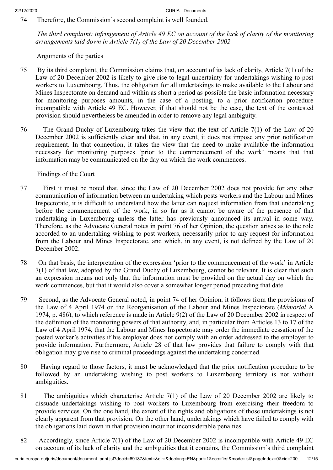74 Therefore, the Commission's second complaint is well founded.

*The third complaint: infringement of Article 49 EC on account of the lack of clarity of the monitoring arrangements laid down in Article 7(1) of the Law of 20 December 2002*

Arguments of the parties

- 75 By its third complaint, the Commission claims that, on account of its lack of clarity, Article 7(1) of the Law of 20 December 2002 is likely to give rise to legal uncertainty for undertakings wishing to post workers to Luxembourg. Thus, the obligation for all undertakings to make available to the Labour and Mines Inspectorate on demand and within as short a period as possible the basic information necessary for monitoring purposes amounts, in the case of a posting, to a prior notification procedure incompatible with Article 49 EC. However, if that should not be the case, the text of the contested provision should nevertheless be amended in order to remove any legal ambiguity.
- 76 The Grand Duchy of Luxembourg takes the view that the text of Article 7(1) of the Law of 20 December 2002 is sufficiently clear and that, in any event, it does not impose any prior notification requirement. In that connection, it takes the view that the need to make available the information necessary for monitoring purposes 'prior to the commencement of the work' means that that information may be communicated on the day on which the work commences.

- 77 First it must be noted that, since the Law of 20 December 2002 does not provide for any other communication of information between an undertaking which posts workers and the Labour and Mines Inspectorate, it is difficult to understand how the latter can request information from that undertaking before the commencement of the work, in so far as it cannot be aware of the presence of that undertaking in Luxembourg unless the latter has previously announced its arrival in some way. Therefore, as the Advocate General notes in point 76 of her Opinion, the question arises as to the role accorded to an undertaking wishing to post workers, necessarily prior to any request for information from the Labour and Mines Inspectorate, and which, in any event, is not defined by the Law of 20 December 2002.
- 78 On that basis, the interpretation of the expression 'prior to the commencement of the work' in Article 7(1) of that law, adopted by the Grand Duchy of Luxembourg, cannot be relevant. It is clear that such an expression means not only that the information must be provided on the actual day on which the work commences, but that it would also cover a somewhat longer period preceding that date.
- 79 Second, as the Advocate General noted, in point 74 of her Opinion, it follows from the provisions of the Law of 4 April 1974 on the Reorganisation of the Labour and Mines Inspectorate (*Mémorial* A 1974, p. 486), to which reference is made in Article 9(2) of the Law of 20 December 2002 in respect of the definition of the monitoring powers of that authority, and, in particular from Articles 13 to 17 of the Law of 4 April 1974, that the Labour and Mines Inspectorate may order the immediate cessation of the posted worker's activities if his employer does not comply with an order addressed to the employer to provide information. Furthermore, Article 28 of that law provides that failure to comply with that obligation may give rise to criminal proceedings against the undertaking concerned.
- 80 Having regard to those factors, it must be acknowledged that the prior notification procedure to be followed by an undertaking wishing to post workers to Luxembourg territory is not without ambiguities.
- 81 The ambiguities which characterise Article 7(1) of the Law of 20 December 2002 are likely to dissuade undertakings wishing to post workers to Luxembourg from exercising their freedom to provide services. On the one hand, the extent of the rights and obligations of those undertakings is not clearly apparent from that provision. On the other hand, undertakings which have failed to comply with the obligations laid down in that provision incur not inconsiderable penalties.
- 82 Accordingly, since Article 7(1) of the Law of 20 December 2002 is incompatible with Article 49 EC on account of its lack of clarity and the ambiguities that it contains, the Commission's third complaint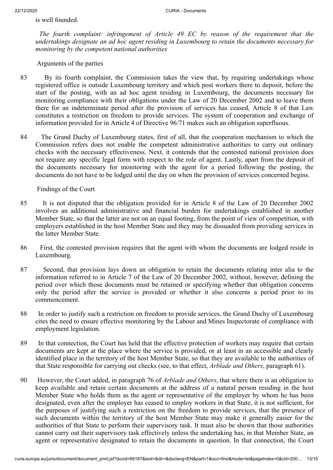is well founded.

*The fourth complaint: infringement of Article 49 EC by reason of the requirement that the undertakings designate an ad hoc agent residing in Luxembourg to retain the documents necessary for monitoring by the competent national authorities*

Arguments of the parties

- 83 By its fourth complaint, the Commission takes the view that, by requiring undertakings whose registered office is outside Luxembourg territory and which post workers there to deposit, before the start of the posting, with an ad hoc agent residing in Luxembourg, the documents necessary for monitoring compliance with their obligations under the Law of 20 December 2002 and to leave them there for an indeterminate period after the provision of services has ceased, Article 8 of that Law constitutes a restriction on freedom to provide services. The system of cooperation and exchange of information provided for in Article 4 of Directive 96/71 makes such an obligation superfluous.
- 84 The Grand Duchy of Luxembourg states, first of all, that the cooperation mechanism to which the Commission refers does not enable the competent administrative authorities to carry out ordinary checks with the necessary effectiveness. Next, it contends that the contested national provision does not require any specific legal form with respect to the role of agent. Lastly, apart from the deposit of the documents necessary for monitoring with the agent for a period following the posting, the documents do not have to be lodged until the day on when the provision of services concerned begins.

- 85 It is not disputed that the obligation provided for in Article 8 of the Law of 20 December 2002 involves an additional administrative and financial burden for undertakings established in another Member State, so that the latter are not on an equal footing, from the point of view of competition, with employers established in the host Member State and they may be dissuaded from providing services in the latter Member State.
- 86 First, the contested provision requires that the agent with whom the documents are lodged reside in Luxembourg.
- 87 Second, that provision lays down an obligation to retain the documents relating inter alia to the information referred to in Article 7 of the Law of 20 December 2002, without, however, defining the period over which those documents must be retained or specifying whether that obligation concerns only the period after the service is provided or whether it also concerns a period prior to its commencement.
- 88 In order to justify such a restriction on freedom to provide services, the Grand Duchy of Luxembourg cites the need to ensure effective monitoring by the Labour and Mines Inspectorate of compliance with employment legislation.
- 89 In that connection, the Court has held that the effective protection of workers may require that certain documents are kept at the place where the service is provided, or at least in an accessible and clearly identified place in the territory of the host Member State, so that they are available to the authorities of that State responsible for carrying out checks (see, to that effect, *Arblade and Others*, paragraph 61).
- 90 However, the Court added, in paragraph 76 of *Arblade and Others*, that where there is an obligation to keep available and retain certain documents at the address of a natural person residing in the host Member State who holds them as the agent or representative of the employer by whom he has been designated, even after the employer has ceased to employ workers in that State, it is not sufficient, for the purposes of justifying such a restriction on the freedom to provide services, that the presence of such documents within the territory of the host Member State may make it generally easier for the authorities of that State to perform their supervisory task. It must also be shown that those authorities cannot carry out their supervisory task effectively unless the undertaking has, in that Member State, an agent or representative designated to retain the documents in question. In that connection, the Court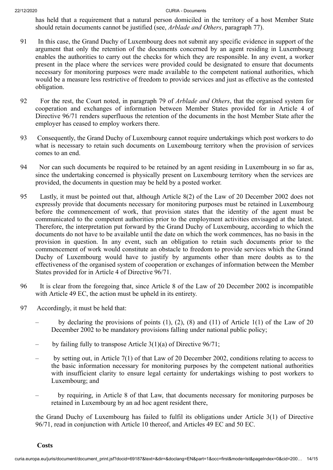has held that a requirement that a natural person domiciled in the territory of a host Member State should retain documents cannot be justified (see, *Arblade and Others*, paragraph 77).

- 91 In this case, the Grand Duchy of Luxembourg does not submit any specific evidence in support of the argument that only the retention of the documents concerned by an agent residing in Luxembourg enables the authorities to carry out the checks for which they are responsible. In any event, a worker present in the place where the services were provided could be designated to ensure that documents necessary for monitoring purposes were made available to the competent national authorities, which would be a measure less restrictive of freedom to provide services and just as effective as the contested obligation.
- 92 For the rest, the Court noted, in paragraph 79 of *Arblade and Others*, that the organised system for cooperation and exchanges of information between Member States provided for in Article 4 of Directive 96/71 renders superfluous the retention of the documents in the host Member State after the employer has ceased to employ workers there.
- 93 Consequently, the Grand Duchy of Luxembourg cannot require undertakings which post workers to do what is necessary to retain such documents on Luxembourg territory when the provision of services comes to an end.
- 94 Nor can such documents be required to be retained by an agent residing in Luxembourg in so far as, since the undertaking concerned is physically present on Luxembourg territory when the services are provided, the documents in question may be held by a posted worker.
- 95 Lastly, it must be pointed out that, although Article 8(2) of the Law of 20 December 2002 does not expressly provide that documents necessary for monitoring purposes must be retained in Luxembourg before the commencement of work, that provision states that the identity of the agent must be communicated to the competent authorities prior to the employment activities envisaged at the latest. Therefore, the interpretation put forward by the Grand Duchy of Luxembourg, according to which the documents do not have to be available until the date on which the work commences, has no basis in the provision in question. In any event, such an obligation to retain such documents prior to the commencement of work would constitute an obstacle to freedom to provide services which the Grand Duchy of Luxembourg would have to justify by arguments other than mere doubts as to the effectiveness of the organised system of cooperation or exchanges of information between the Member States provided for in Article 4 of Directive 96/71.
- 96 It is clear from the foregoing that, since Article 8 of the Law of 20 December 2002 is incompatible with Article 49 EC, the action must be upheld in its entirety.
- 97 Accordingly, it must be held that:
	- by declaring the provisions of points  $(1)$ ,  $(2)$ ,  $(8)$  and  $(11)$  of Article  $1(1)$  of the Law of 20 December 2002 to be mandatory provisions falling under national public policy;
	- by failing fully to transpose Article  $3(1)(a)$  of Directive  $96/71$ ;
	- by setting out, in Article 7(1) of that Law of 20 December 2002, conditions relating to access to the basic information necessary for monitoring purposes by the competent national authorities with insufficient clarity to ensure legal certainty for undertakings wishing to post workers to Luxembourg; and
	- by requiring, in Article 8 of that Law, that documents necessary for monitoring purposes be retained in Luxembourg by an ad hoc agent resident there,

the Grand Duchy of Luxembourg has failed to fulfil its obligations under Article 3(1) of Directive 96/71, read in conjunction with Article 10 thereof, and Articles 49 EC and 50 EC.

**Costs**